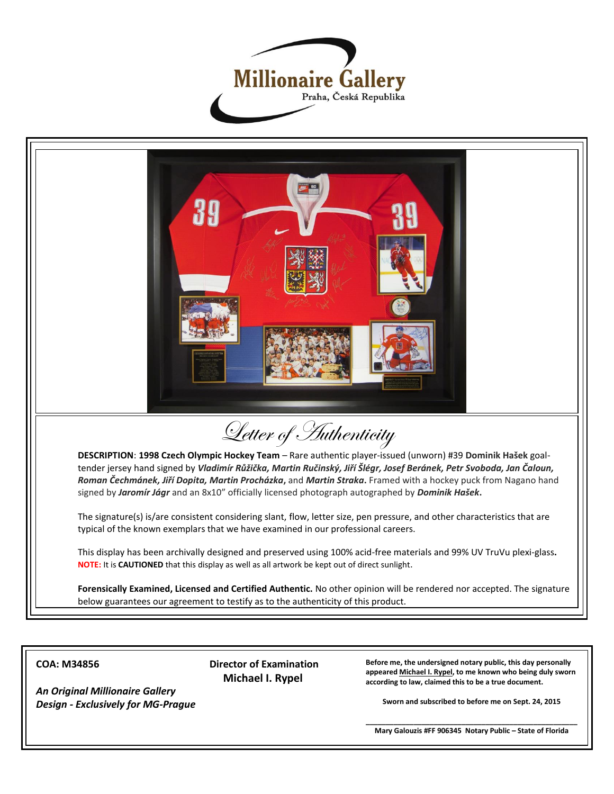



## **COA: M34856**

*An Original Millionaire Gallery Design - Exclusively for MG-Prague* **Director of Examination Michael I. Rypel**

**Before me, the undersigned notary public, this day personally appeared Michael I. Rypel, to me known who being duly sworn according to law, claimed this to be a true document.**

**Sworn and subscribed to before me on Sept. 24, 2015**

**\_\_\_\_\_\_\_\_\_\_\_\_\_\_\_\_\_\_\_\_\_\_\_\_\_\_\_\_\_\_\_\_\_\_\_\_\_\_\_\_\_\_\_\_\_\_\_\_\_\_\_\_\_ Mary Galouzis #FF 906345 Notary Public – State of Florida**